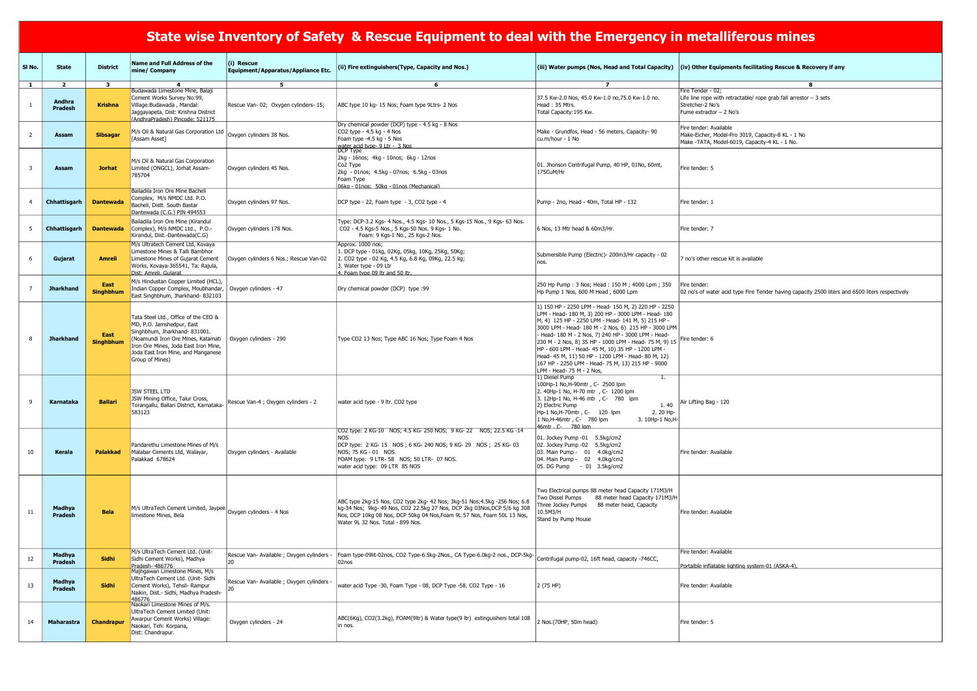|              |                                            |                                |                                                                                                                                                                                                                                           |                                                                              | <u>State wise Inventory or Sarety "&amp; Rescue Equipment to dear with the Eniergency in inclaimerous innies</u>                                                                                                                                                       |                                                                                                                                                                                                                                                                                                                                                                                                                                                                                                                                         |                                                                                                                                             |
|--------------|--------------------------------------------|--------------------------------|-------------------------------------------------------------------------------------------------------------------------------------------------------------------------------------------------------------------------------------------|------------------------------------------------------------------------------|------------------------------------------------------------------------------------------------------------------------------------------------------------------------------------------------------------------------------------------------------------------------|-----------------------------------------------------------------------------------------------------------------------------------------------------------------------------------------------------------------------------------------------------------------------------------------------------------------------------------------------------------------------------------------------------------------------------------------------------------------------------------------------------------------------------------------|---------------------------------------------------------------------------------------------------------------------------------------------|
| SI No.       | <b>State</b>                               | <b>District</b>                | Name and Full Address of the<br>mine/ Company                                                                                                                                                                                             | (i) Rescue<br>Equipment/Apparatus/Appliance Etc.                             | (ii) Fire extinguishers (Type, Capacity and Nos.)                                                                                                                                                                                                                      |                                                                                                                                                                                                                                                                                                                                                                                                                                                                                                                                         | (iii) Water pumps (Nos, Head and Total Capacity) $ (iv)$ Other Equipments fecilitating Rescue & Recovery if any                             |
| $\mathbf{1}$ | $\overline{2}$<br>Andhra<br><b>Pradesh</b> | $\mathbf{3}$<br><b>Krishna</b> | 4<br>Budawada Limestone Mine, Balaji<br>Cement Works Survey No:99,<br>Village: Budawada, Mandal:<br>Jaggayapeta, Dist: Krishna District<br>(AndhraPradesh) Pincode: 521175                                                                | 5<br>Rescue Van- 02; Oxygen cylinders- 15;                                   | 6<br>ABC type 10 kg- 15 Nos; Foam type 9Ltrs- 2 Nos                                                                                                                                                                                                                    | $\overline{7}$<br>37.5 Kw-2.0 Nos, 45.0 Kw-1.0 no, 75.0 Kw-1.0 no.<br>Head: 35 Mtrs.<br>Total Capacity: 195 Kw.                                                                                                                                                                                                                                                                                                                                                                                                                         | 8<br>Fire Tender - 02;<br>Life line rope with retractable/ rope grab fall arrestor $-3$ sets<br>Stretcher-2 No's<br>Fume extractor - 2 No's |
| 2            | Assam                                      | <b>Sibsagar</b>                | M/s Oil & Natural Gas Corporation Ltd<br>[Assam Asset]                                                                                                                                                                                    | Oxygen cylinders 38 Nos.                                                     | Dry chemical powder (DCP) type - 4.5 kg - 8 Nos<br>CO2 type - 4.5 kg - 4 Nos<br>Foam type -4.5 kg - 5 Nos                                                                                                                                                              | Make - Grundfos, Head - 56 meters, Capacity- 90<br>cu.m/hour - 1 No                                                                                                                                                                                                                                                                                                                                                                                                                                                                     | Fire tender: Available<br>Make-Eicher, Model-Pro 3019, Capacity-8 KL - 1 No<br>Make -TATA, Model-6019, Capacity-4 KL - 1 No.                |
|              | Assam                                      | <b>Jorhat</b>                  | M/s Oil & Natural Gas Corporation<br>Limited (ONGCL), Jorhat Assam-<br>785704                                                                                                                                                             | Oxygen cylinders 45 Nos.                                                     | water_acid_tvpe- 9 Ltr - _3 Nos<br> DCP Type<br>2kg - 16nos; 4kg - 10nos; 6kg - 12nos<br>Co <sub>2</sub> Type<br>2kg - 01nos; 4.5kg - 07nos; 6.5kg - 03nos<br>Foam Type<br>06kg - 01nos: 50kg - 01nos (Mechanical)                                                     | 01. Jhonson Centrifugal Pump, 40 HP, 01No, 60mt,<br>175CuM/Hr                                                                                                                                                                                                                                                                                                                                                                                                                                                                           | Fire tender: 5                                                                                                                              |
|              | Chhattisgarh                               | <b>Dantewada</b>               | Bailadila Iron Ore Mine Bacheli<br>Complex, M/s NMDC Ltd. P.O.<br>Bacheli, Distt. South Bastar<br>Dantewada (C.G.) PIN 494553                                                                                                             | Oxygen cylinders 97 Nos.                                                     | DCP type - 22, Foam type - 3, CO2 type - 4                                                                                                                                                                                                                             | Pump - 2no, Head - 40m, Total HP - 132                                                                                                                                                                                                                                                                                                                                                                                                                                                                                                  | Fire tender: 1                                                                                                                              |
| - 5          | Chhattisgarh                               | <b>Dantewada</b>               | Bailadila Iron Ore Mine (Kirandul<br>Complex), M/s NMDC Ltd., P.O.-<br>Kirandul, Dist.-Dantewada(C.G)                                                                                                                                     | Oxygen cylinders 178 Nos.                                                    | Type: DCP-3.2 Kgs- 4 Nos., 4.5 Kgs- 10 Nos., 5 Kgs-15 Nos., 9 Kgs- 63 Nos.<br>CO2 - 4.5 Kgs-5 Nos., 5 Kgs-50 Nos. 9 Kgs- 1 No.<br>Foam: 9 Kgs-1 No., 25 Kgs-2 Nos.                                                                                                     | 6 Nos, 13 Mtr head & 60m3/Hr.                                                                                                                                                                                                                                                                                                                                                                                                                                                                                                           | Fire tender: 7                                                                                                                              |
| 6            | Gujarat                                    | <b>Amreli</b>                  | M/s Ultratech Cement Ltd, Kovaya<br>Limestone Mines & Talli Bambhor<br>Limestone Mines of Gujarat Cement<br>Works, Kovaya-365541, Ta: Rajula,<br>Dist: Amreli. Guiarat                                                                    | Oxygen cylinders 6 Nos.; Rescue Van-02                                       | Approx. 1000 nos;<br>1. DCP type - 01kg, 02Kg, 05kg, 10Kg, 25Kg, 50Kg;<br>2. CO2 type - 02 Kg, 4.5 Kg, 6.8 Kg, 09Kg, 22.5 kg;<br>3. Water type - 09 Ltr<br>4. Foam type 09 ltr and 50 ltr.                                                                             | Submersible Pump (Electric) - 200m3/Hr capacity - 02<br>nos.                                                                                                                                                                                                                                                                                                                                                                                                                                                                            | no's other rescue kit is available                                                                                                          |
|              | <b>Jharkhand</b>                           | East<br><b>Singhbhum</b>       | M/s Hindustan Copper Limited (HCL)<br>Indian Copper Complex, Moubhandar,<br>East Singhbhum, Jharkhand- 832103                                                                                                                             | Oxygen cylinders - 47                                                        | [Dry chemical powder (DCP) type :99                                                                                                                                                                                                                                    | 250 Hp Pump: 3 Nos; Head: 150 M; 4000 Lpm; 350<br>Hp Pump 1 Nos, 600 M Head, 6000 Lpm                                                                                                                                                                                                                                                                                                                                                                                                                                                   | Fire tender:<br>02 no's of water acid type Fire Tender having capacity 2500 liters and 6500 liters respectively                             |
|              | <b>Jharkhand</b>                           | East<br><b>Singhbhum</b>       | Tata Steel Ltd., Office of the CEO &<br>MD, P.O. Jamshedpur, East<br>Singhbhum, Jharkhand- 831001.<br>(Noamundi Iron Ore Mines, Katamati<br>Iron Ore Mines, Joda East Iron Mine,<br>Joda East Iron Mine, and Manganese<br>Group of Mines) | Oxygen cylinders - 290                                                       | Type CO2 13 Nos; Type ABC 16 Nos; Type Foam 4 Nos                                                                                                                                                                                                                      | 1) 150 HP - 2250 LPM - Head- 150 M, 2) 220 HP - 2250<br>LPM - Head- 180 M, 3) 200 HP - 3000 LPM - Head- 180<br>M, 4) 125 HP - 2250 LPM - Head- 141 M, 5) 215 HP -<br>3000 LPM - Head- 180 M - 2 Nos, 6) 215 HP - 3000 LPM<br>- Head- 180 M - 2 Nos, 7) 240 HP - 3000 LPM - Head-<br>230 M - 2 Nos, 8) 35 HP - 1000 LPM - Head- 75 M, 9) 15<br>HP - 600 LPM - Head- 45 M, 10) 35 HP - 1200 LPM -<br>Head- 45 M, 11) 50 HP - 1200 LPM - Head- 80 M, 12)<br>167 HP - 2250 LPM - Head- 75 M, 13) 215 HP - 9000<br>LPM - Head- 75 M - 2 Nos, | Fire tender: 6                                                                                                                              |
| 9            | Karnataka                                  | <b>Ballari</b>                 | JSW STEEL LTD<br>JSW Mining Office, Talur Cross,<br>583123                                                                                                                                                                                | Torangallu, Ballari District, Karnataka- Rescue Van-4 ; Oxygen cylinders - 2 | water acid type - 9 ltr. CO2 type                                                                                                                                                                                                                                      | 1) Diesel Pump<br>100Hp-1 No, H-90mtr, C- 2500 lpm<br>2. 40Hp-1 No, H-70 mtr, C- 1200 lpm<br>3. 12Hp-1 No, H-46 mtr , C- 780 lpm<br>2) Electric Pump<br>Hp-1 No, H-70mtr, C- 120 lpm<br>2. 20 Hp-<br>1 No, H-46mtr, C- 780 lpm<br>3. 10Hp-1 No, H-<br>46mtr. C- 780 lpm                                                                                                                                                                                                                                                                 | 1.40 $\left  \text{Air Lifting Bag - 120} \right $                                                                                          |
| 10           | Kerala                                     | <b>Palakkad</b>                | Pandarethu Limestone Mines of M/s<br>Malabar Cements Ltd, Walayar,<br>Palakkad 678624                                                                                                                                                     | Oxygen cylinders - Available                                                 | CO2 type: 2 KG-10 NOS; 4.5 KG- 250 NOS; 9 KG- 22 NOS; 22.5 KG-14<br><b>NOS</b><br>DCP type: 2 KG-15 NOS; 6 KG-240 NOS; 9 KG-29 NOS; 25 KG-03<br>INOS: 75 KG - 01 NOS.<br>FOAM type: 9 LTR-58 NOS; 50 LTR-07 NOS.<br>water acid type: 09 LTR 85 NOS                     | 01. Jockey Pump -01 5.5kg/cm2<br>02. Jockey Pump -02 5.5kg/cm2<br>03. Main Pump - 01 4.0kg/cm2<br>04. Main Pump - 02 4.0kg/cm2<br>05. DG Pump - 01 3.5kg/cm2                                                                                                                                                                                                                                                                                                                                                                            | Fire tender: Available                                                                                                                      |
| 11           | <b>Madhya</b><br><b>Pradesh</b>            | <b>Bela</b>                    | $\big \mathsf{M/s}\big $ UltraTech Cement Limited, Jaypee $\big _{\rm Oxygen}\big $ cylinders - 4 Nos<br>limestone Mines, Bela                                                                                                            |                                                                              | ABC type 2kg-15 Nos, CO2 type 2kg- 42 Nos; 3kg-51 Nos; 4.5kg -256 Nos; 6.8<br>kg-34 Nos; 9kg- 49 Nos, CO2 22.5kg 27 Nos, DCP 2kg 03Nos, DCP 5/6 kg 308<br>Nos, DCP 10kg 08 Nos, DCP 50kg 04 Nos, Foam 9L 57 Nos, Foam 50L 13 Nos,<br>Water 9L 32 Nos. Total - 899 Nos. | Two Electrical pumps 88 meter head Capacity 171M3/H<br>88 meter head Capacity 171M3/H<br>Two Dissel Pumps<br>88 meter head, Capacity<br>Three Jockey Pumps<br>10.5M3/H<br>Stand by Pump House                                                                                                                                                                                                                                                                                                                                           | Fire tender: Available                                                                                                                      |
| 12           | Madhya<br><b>Pradesh</b>                   | <b>Sidhi</b>                   | M/s UltraTech Cement Ltd. (Unit-<br>Sidhi Cement Works), Madhya<br>Pradesh- 486776                                                                                                                                                        | Rescue Van- Available ; Oxygen cylinders -                                   | Foam type-09lit-02nos, CO2 Type-6.5kg-2Nos., CA Type-6.0kg-2 nos., DCP-5kg-<br>02nos                                                                                                                                                                                   | Centrifugal pump-02, 16ft head, capacity -746CC,                                                                                                                                                                                                                                                                                                                                                                                                                                                                                        | Fire tender: Available<br>Portalble inflatable lighting system-01 (ASKA-4),                                                                 |
| 13           | Madhya<br><b>Pradesh</b>                   | <b>Sidhi</b>                   | Majhgawan Limestone Mines, M/s<br>UltraTech Cement Ltd. (Unit- Sidhi<br>Cement Works), Tehsil- Rampur<br>Naikin, Dist.- Sidhi, Madhya Pradesh-<br>486776                                                                                  | Rescue Van- Available ; Oxygen cylinders<br>20                               | water acid Type -30, Foam Type - 08, DCP Type -58, CO2 Type - 16                                                                                                                                                                                                       | 2 (75 HP)                                                                                                                                                                                                                                                                                                                                                                                                                                                                                                                               | Fire tender: Available                                                                                                                      |
| 14           | Maharastra                                 | <b>Chandrapur</b>              | Naokari Limestone Mines of M/s.<br>UltraTech Cement Limited (Unit:<br>Awarpur Cement Works) Village:<br>Naokari, Teh: Korpana,<br>Dist: Chandrapur.                                                                                       | Oxygen cylinders - 24                                                        | ABC(6Kg), CO2(3.2kg), FOAM(9ltr) & Water type(9 ltr) extinguishers total 108<br>lin nos.                                                                                                                                                                               | 2 Nos.(70HP, 50m head)                                                                                                                                                                                                                                                                                                                                                                                                                                                                                                                  | Fire tender: 5                                                                                                                              |

## State wise Inventory of Safety & Rescue Equipment to deal with the Emergency in metalliferous mines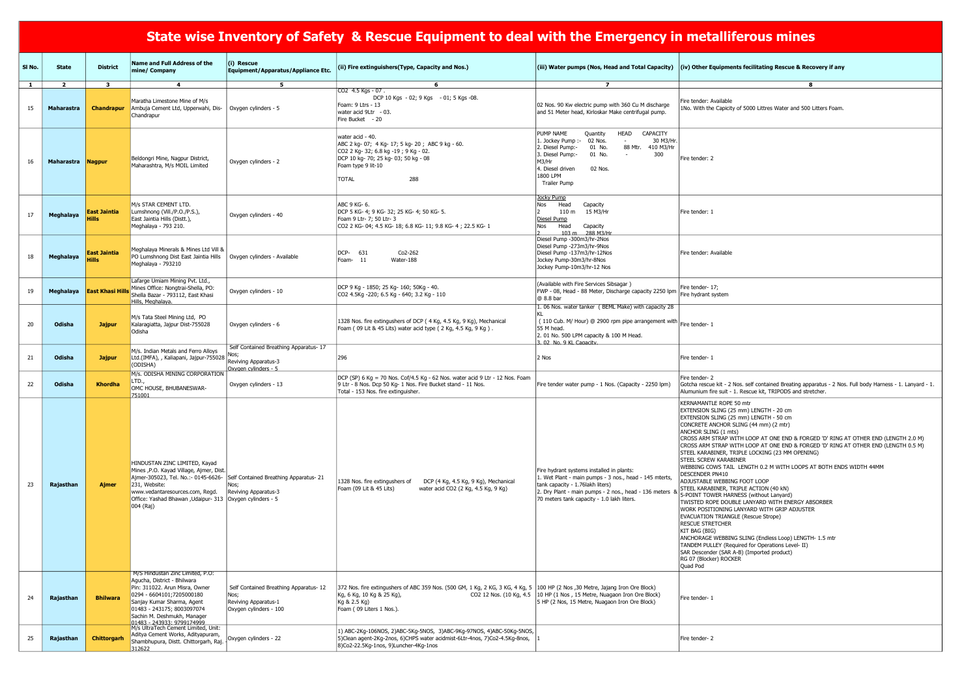| <b>metalliferous mines</b>                                                                                                                                                                |
|-------------------------------------------------------------------------------------------------------------------------------------------------------------------------------------------|
| (iv) Other Equipments fecilitating Rescue & Recovery if any                                                                                                                               |
| 8                                                                                                                                                                                         |
| Fire tender: Available<br>1No. With the Capicity of 5000 Littres Water and 500 Litters Foam.                                                                                              |
| Fire tender: 2                                                                                                                                                                            |
| Fire tender: 1                                                                                                                                                                            |
| Fire tender: Available                                                                                                                                                                    |
| Fire tender- 17;<br>Fire hydrant system                                                                                                                                                   |
| Fire tender- 1                                                                                                                                                                            |
| Fire tender-1                                                                                                                                                                             |
| Fire tender-2<br>Gotcha rescue kit - 2 Nos. self contained Breating apparatus - 2 Nos. Full body Harness - 1. Lanyard - 1.<br>Alumunium fire suit - 1. Rescue kit, TRIPODS and stretcher. |
| KERNAMANTLE ROPE 50 mtr<br>EXTENSION SLING (25 mm) LENGTH - 20 cm<br>EXTENSION SLING (25 mm) LENGTH - 50 cm<br>CONCRETE ANCHOR SLING (44 mm) (2 mtr)                                      |

CROSS ARM STRAP WITH LOOP AT ONE END & FORGED 'D' RING AT OTHER END (LENGTH 2.0 M) CROSS ARM STRAP WITH LOOP AT ONE END & FORGED 'D' RING AT OTHER END (LENGTH 0.5 M) STEEL KARABINER, TRIPLE LOCKING (23 MM OPENING) NER LENGTH 0.2 M WITH LOOPS AT BOTH ENDS WIDTH 44MM

## State wise Inventory of Safety & Rescue Equipment to deal with the Emergency in metallif

| SI No.       | <b>State</b>      | <b>District</b>                     | <b>Name and Full Address of the</b><br>mine/ Company                                                                                                                                                                                             | $(i)$ Rescue<br>Equipment/Apparatus/Appliance Etc.                                              | (ii) Fire extinguishers (Type, Capacity and Nos.)                                                                                                                                                       |                                                                                                                                                                                                                                                       | (iii) Water pumps (Nos, Head and Total Capacity) (iv) Other Equipments fecilitating Rescue & Recovery if any                                                                                                                                                                                                                                                                                                                                                                                                                                                                                                                                                                                                                                                                                                                                                                                                                                                                                |
|--------------|-------------------|-------------------------------------|--------------------------------------------------------------------------------------------------------------------------------------------------------------------------------------------------------------------------------------------------|-------------------------------------------------------------------------------------------------|---------------------------------------------------------------------------------------------------------------------------------------------------------------------------------------------------------|-------------------------------------------------------------------------------------------------------------------------------------------------------------------------------------------------------------------------------------------------------|---------------------------------------------------------------------------------------------------------------------------------------------------------------------------------------------------------------------------------------------------------------------------------------------------------------------------------------------------------------------------------------------------------------------------------------------------------------------------------------------------------------------------------------------------------------------------------------------------------------------------------------------------------------------------------------------------------------------------------------------------------------------------------------------------------------------------------------------------------------------------------------------------------------------------------------------------------------------------------------------|
| $\mathbf{1}$ | $\overline{2}$    | $\overline{\mathbf{3}}$             | $\overline{4}$                                                                                                                                                                                                                                   | 5                                                                                               | 6                                                                                                                                                                                                       | $\overline{ }$                                                                                                                                                                                                                                        | 8                                                                                                                                                                                                                                                                                                                                                                                                                                                                                                                                                                                                                                                                                                                                                                                                                                                                                                                                                                                           |
| 15           | <b>Maharastra</b> | <b>Chandrapur</b>                   | Maratha Limestone Mine of M/s<br>Ambuja Cement Ltd, Upperwahi, Dis-<br>Chandrapur                                                                                                                                                                | Oxygen cylinders - 5                                                                            | CO2 4.5 Kgs - 07.<br>DCP 10 Kgs - 02; 9 Kgs - 01; 5 Kgs - 08.<br>Foam: 9 Ltrs - 13<br>water acid 9Ltr - 03.<br>Fire Bucket - 20                                                                         | 02 Nos. 90 Kw electric pump with 360 Cu M discharge<br>and 51 Meter head, Kirloskar Make centrifugal pump.                                                                                                                                            | Fire tender: Available<br>1No. With the Capicity of 5000 Littres Water and 500 Litters Foam.                                                                                                                                                                                                                                                                                                                                                                                                                                                                                                                                                                                                                                                                                                                                                                                                                                                                                                |
| 16           | Maharastra        | <b>Nagpur</b>                       | Beldongri Mine, Nagpur District,<br>Maharashtra, M/s MOIL Limited                                                                                                                                                                                | Oxygen cylinders - 2                                                                            | water acid - 40.<br>ABC 2 kg- 07; 4 Kg- 17; 5 kg- 20; ABC 9 kg - 60.<br>CO2 2 Kg- 32; 6.8 kg -19; 9 Kg - 02.<br>DCP 10 kg- 70; 25 kg- 03; 50 kg - 08<br>Foam type 9 lit-10<br>288<br><b>TOTAL</b>       | CAPACITY<br>PUMP NAME<br>HEAD<br>Quantity<br>02 Nos.<br>1. Jockey Pump :-<br>30 M3/Hr.<br>2. Diesel Pump:-<br>88 Mtr.<br>410 M3/Hr<br>01 No.<br>300<br>3. Diesel Pump:-<br>01 No.<br>M3/Hr<br>02 Nos.<br>4. Diesel driven<br>1800 LPM<br>Trailer Pump | Fire tender: 2                                                                                                                                                                                                                                                                                                                                                                                                                                                                                                                                                                                                                                                                                                                                                                                                                                                                                                                                                                              |
| 17           | Meghalaya         | <b>East Jaintia</b><br><b>Hills</b> | M/s STAR CEMENT LTD.<br>Lumshnong (Vill./P.O./P.S.),<br>East Jaintia Hills (Distt.),<br>Meghalaya - 793 210.                                                                                                                                     | Oxygen cylinders - 40                                                                           | ABC 9 KG- 6.<br>DCP 5 KG- 4; 9 KG- 32; 25 KG- 4; 50 KG- 5.<br>Foam 9 Ltr- 7; 50 Ltr- 3<br>CO2 2 KG- 04; 4.5 KG- 18; 6.8 KG- 11; 9.8 KG- 4; 22.5 KG- 1                                                   | Jocky Pum <u>p</u><br>Head<br>Capacity<br>Nos<br>110 m<br>15 M3/Hr<br>Diesel Pump<br>Head<br>Nos<br>Capacity<br>103 m 288 M3/Hr                                                                                                                       | Fire tender: 1                                                                                                                                                                                                                                                                                                                                                                                                                                                                                                                                                                                                                                                                                                                                                                                                                                                                                                                                                                              |
| 18           | Meghalaya         | <b>East Jaintia</b>                 | Meghalaya Minerals & Mines Ltd Vill &<br>PO Lumshnong Dist East Jaintia Hills<br>Meghalaya - 793210                                                                                                                                              | Oxygen cylinders - Available                                                                    | DCP-<br>631<br>Co2-262<br>Foam- 11<br>Water-188                                                                                                                                                         | Diesel Pump -300m3/hr-2Nos<br>Diesel Pump -273m3/hr-9Nos<br>Diesel Pump -137m3/hr-12Nos<br>Jockey Pump-30m3/hr-8Nos<br>Jockey Pump-10m3/hr-12 Nos                                                                                                     | Fire tender: Available                                                                                                                                                                                                                                                                                                                                                                                                                                                                                                                                                                                                                                                                                                                                                                                                                                                                                                                                                                      |
| 19           | Meghalaya         | <b>East Khasi Hills</b>             | Lafarge Umiam Mining Pvt. Ltd.,<br>Mines Office: Nongtrai-Shella, PO:<br>Shella Bazar - 793112, East Khasi<br>Hills, Meghalaya.                                                                                                                  | Oxygen cylinders - 10                                                                           | DCP 9 Kg - 1850; 25 Kg- 160; 50Kg - 40.<br>CO2 4.5Kg -220; 6.5 Kg - 640; 3.2 Kg - 110                                                                                                                   | (Available with Fire Services Sibsagar)<br>FWP - 08, Head - 88 Meter, Discharge capacity 2250 lpm   I live version 2017<br>@ 8.8 bar<br>1. 06 Nos. water tanker ( BEML Make) with capacity 28                                                         |                                                                                                                                                                                                                                                                                                                                                                                                                                                                                                                                                                                                                                                                                                                                                                                                                                                                                                                                                                                             |
| 20           | Odisha            | <b>Jajpur</b>                       | M/s Tata Steel Mining Ltd, PO<br>Kalaragiatta, Jajpur Dist-755028<br>Odisha                                                                                                                                                                      | Oxygen cylinders - 6                                                                            | 1328 Nos. fire extingushers of DCP (4 Kg, 4.5 Kg, 9 Kg), Mechanical<br>Foam (09 Lit & 45 Lits) water acid type (2 Kg, 4.5 Kg, 9 Kg).                                                                    | (110 Cub. M/ Hour) @ 2900 rpm pipe arrangement with Fire tender- 1<br>55 M head.<br>2. 01 No. 500 LPM capacity & 100 M Head.<br>3.02 No. 9 KL Capacity.                                                                                               |                                                                                                                                                                                                                                                                                                                                                                                                                                                                                                                                                                                                                                                                                                                                                                                                                                                                                                                                                                                             |
| 21           | Odisha            | <b>Jajpur</b>                       | M/s. Indian Metals and Ferro Alloys<br>Ltd.(IMFA), , Kaliapani, Jajpur-755028<br>(ODISHA)                                                                                                                                                        | Self Contained Breathing Apparatus-17<br>Reviving Apparatus-3<br>Oxvgen cylinders - 5           | 296                                                                                                                                                                                                     | 2 Nos                                                                                                                                                                                                                                                 | Fire tender- 1                                                                                                                                                                                                                                                                                                                                                                                                                                                                                                                                                                                                                                                                                                                                                                                                                                                                                                                                                                              |
| 22           | Odisha            | <b>Khordha</b>                      | M/s. ODISHA MINING CORPORATION<br>LTD.,<br>OMC HOUSE, BHUBANESWAR-<br>751001                                                                                                                                                                     | Oxygen cylinders - 13                                                                           | DCP (SP) 6 Kg = 70 Nos. Cof/4.5 Kg - 62 Nos. water acid 9 Ltr - 12 Nos. Foam<br>9 Ltr - 8 Nos. Dcp 50 Kg- 1 Nos. Fire Bucket stand - 11 Nos.<br>Total - 153 Nos. fire extinguisher.                     | Fire tender water pump - 1 Nos. (Capacity - 2250 lpm)                                                                                                                                                                                                 | Fire tender-2<br>Gotcha rescue kit - 2 Nos. self contained Breating apparatus - 2 Nos<br>Alumunium fire suit - 1. Rescue kit, TRIPODS and stretcher.                                                                                                                                                                                                                                                                                                                                                                                                                                                                                                                                                                                                                                                                                                                                                                                                                                        |
| 23           | Rajasthan         | <b>Ajmer</b>                        | HINDUSTAN ZINC LIMITED, Kayad<br>Mines , P.O. Kayad Village, Ajmer, Dist.<br>Ajmer-305023, Tel. No.:- 0145-6626-<br>231, Website:<br>www.vedantaresources.com, Regd.<br>Office: Yashad Bhawan , Udaipur- 313   Oxygen cylinders - 5<br>004 (Raj) | Self Contained Breathing Apparatus-21<br>Nos;<br>Reviving Apparatus-3                           | 1328 Nos. fire extingushers of<br>DCP (4 Kg, 4.5 Kg, 9 Kg), Mechanical<br>Foam (09 Lit & 45 Lits)<br>water acid CO2 (2 Kg, 4.5 Kg, 9 Kg)                                                                | Fire hydrant systems installed in plants:<br>1. Wet Plant - main pumps - 3 nos., head - 145 mterts,<br>tank capacity - 1.76 lakh liters)<br>2. Dry Plant - main pumps - 2 nos., head - 136 meters<br>70 meters tank capacity - 1.0 lakh liters.       | KERNAMANTLE ROPE 50 mtr<br>EXTENSION SLING (25 mm) LENGTH - 20 cm<br>EXTENSION SLING (25 mm) LENGTH - 50 cm<br>CONCRETE ANCHOR SLING (44 mm) (2 mtr)<br>ANCHOR SLING (1 mts)<br>CROSS ARM STRAP WITH LOOP AT ONE END & FORGED 'D' RING<br>CROSS ARM STRAP WITH LOOP AT ONE END & FORGED 'D' RING<br>STEEL KARABINER, TRIPLE LOCKING (23 MM OPENING)<br><b>STEEL SCREW KARABINER</b><br>WEBBING COWS TAIL LENGTH 0.2 M WITH LOOPS AT BOTH END<br><b>DESCENDER PN410</b><br>ADJUSTABLE WEBBING FOOT LOOP<br>STEEL KARABINER, TRIPLE ACTION (40 kN)<br>5-POINT TOWER HARNESS (without Lanyard)<br>TWISTED ROPE DOUBLE LANYARD WITH ENERGY ABSORBER<br>WORK POSITIONING LANYARD WITH GRIP ADJUSTER<br><b>EVACUATION TRIANGLE (Rescue Strope)</b><br><b>RESCUE STRETCHER</b><br>KIT BAG (BIG)<br>ANCHORAGE WEBBING SLING (Endless Loop) LENGTH- 1.5 mtr<br>TANDEM PULLEY (Required for Operations Level- II)<br>SAR Descender (SAR A-B) (Imported product)<br>RG 07 (Blocker) ROCKER<br>Quad Pod |
| 24           | Rajasthan         | <b>Bhilwara</b>                     | M/S Hindustan Zinc Limited, P.O:<br>Agucha, District - Bhilwara<br>Pin: 311022. Arun Misra, Owner<br>0294 - 6604101;7205000180<br>Sanjay Kumar Sharma, Agent<br>01483 - 243175; 8003097074<br>Sachin M. Deshmukh, Manager                        | Self Contained Breathing Apparatus-12<br>Nos;<br>Reviving Apparatus-1<br>Oxygen cylinders - 100 | 372 Nos. fire extingushers of ABC 359 Nos. (500 GM, 1 Kg, 2 KG, 3 KG, 4 Kg, 5  100 HP (2 Nos ,30 Metre, Jajang Iron Ore Block)<br>Kg, 6 Kg, 10 Kg & 25 Kg),<br>Kg & 2.5 Kg)<br>Foam (09 Liters 1 Nos.). | CO2 12 Nos. (10 Kg, 4.5   10 HP (1 Nos, 15 Metre, Nuagaon Iron Ore Block)<br>5 HP (2 Nos, 15 Metre, Nuagaon Iron Ore Block)                                                                                                                           | Fire tender- 1                                                                                                                                                                                                                                                                                                                                                                                                                                                                                                                                                                                                                                                                                                                                                                                                                                                                                                                                                                              |
| 25           | Rajasthan         | <b>Chittorgarh</b>                  | 01483 - 243933: 9799174999<br>M/s UltraTech Cement Limited, Unit:<br>Aditya Cement Works, Adityapuram,<br>Shambhupura, Distt. Chittorgarh, Raj.<br>312622                                                                                        | Oxygen cylinders - 22                                                                           | 1) ABC-2Kg-106NOS, 2)ABC-5Kg-5NOS, 3)ABC-9Kg-97NOS, 4)ABC-50Kg-5NOS,<br>5)Clean agent-2Kg-2nos, 6)CHPS water acidmist-6Ltr-4nos, 7)Co2-4.5Kg-8nos,<br>8)Co2-22.5Kg-1nos, 9)Luncher-4Kg-1nos             |                                                                                                                                                                                                                                                       | Fire tender-2                                                                                                                                                                                                                                                                                                                                                                                                                                                                                                                                                                                                                                                                                                                                                                                                                                                                                                                                                                               |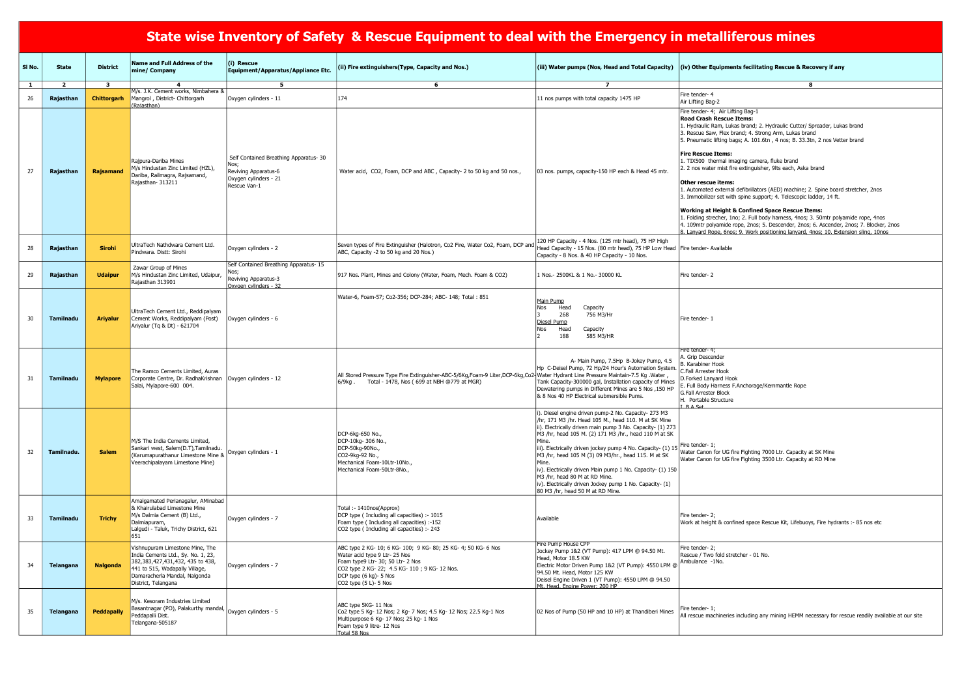## State wise Inventory of Safety & Rescue Equipment to deal with the Emergency in metalliferous mines

| 1. Hydraulic Ram, Lukas brand; 2. Hydraulic Cutter/ Spreader, Lukas brand<br>3. Rescue Saw, Flex brand; 4. Strong Arm, Lukas brand                        |  |
|-----------------------------------------------------------------------------------------------------------------------------------------------------------|--|
| 5. Pneumatic lifting bags; A. 101.6tn, 4 nos; B. 33.3tn, 2 nos Vetter brand                                                                               |  |
| <b>Fire Rescue Items:</b>                                                                                                                                 |  |
| 1. TIX500 thermal imaging camera, fluke brand                                                                                                             |  |
| 2. 2 nos water mist fire extinguisher, 9lts each, Aska brand                                                                                              |  |
| Other rescue items:                                                                                                                                       |  |
| 1. Automated external defibrillators (AED) machine; 2. Spine board stretcher, 2nos<br>3. Immobilizer set with spine support; 4. Telescopic ladder, 14 ft. |  |

#### $\alpha$  Confined Space Rescue Items:

1. Full body harness, 4nos; 3. 50mtr polyamide rope, 4nos ppe, 2nos; 5. Descender, 2nos; 6. Ascender, 2nos; 7. Blocker, 2nos 8. Work positioning lanyard, 4nos; 10. Extension sling, 10nos;

| SI No.       | <b>State</b>   | <b>District</b>    | <b>Name and Full Address of the</b><br>mine/ Company                                                                                                                                                | (i) Rescue<br><b>Equipment/Apparatus/Appliance Etc.</b>                                                         | (ii) Fire extinguishers(Type, Capacity and Nos.)                                                                                                                                                                                             | (iii) Water pumps (Nos, Head and Total Capacity)                                                                                                                                                                                                                                                                                                                                                                                                                                                                                                          | $\vert$ (iv) Other Equipments fecilitating Rescue & Rec                                                                                                                                                                                                                                                                                                                                                                                                                                                                                                                                                                                                                                                                                                                |
|--------------|----------------|--------------------|-----------------------------------------------------------------------------------------------------------------------------------------------------------------------------------------------------|-----------------------------------------------------------------------------------------------------------------|----------------------------------------------------------------------------------------------------------------------------------------------------------------------------------------------------------------------------------------------|-----------------------------------------------------------------------------------------------------------------------------------------------------------------------------------------------------------------------------------------------------------------------------------------------------------------------------------------------------------------------------------------------------------------------------------------------------------------------------------------------------------------------------------------------------------|------------------------------------------------------------------------------------------------------------------------------------------------------------------------------------------------------------------------------------------------------------------------------------------------------------------------------------------------------------------------------------------------------------------------------------------------------------------------------------------------------------------------------------------------------------------------------------------------------------------------------------------------------------------------------------------------------------------------------------------------------------------------|
| $\mathbf{1}$ | $\overline{2}$ | $\mathbf{3}$       | 4                                                                                                                                                                                                   | 5                                                                                                               | 6                                                                                                                                                                                                                                            | $\overline{7}$                                                                                                                                                                                                                                                                                                                                                                                                                                                                                                                                            | -8                                                                                                                                                                                                                                                                                                                                                                                                                                                                                                                                                                                                                                                                                                                                                                     |
| 26           | Rajasthan      | <b>Chittorgarh</b> | M/s. J.K. Cement works, Nimbahera &<br>Mangrol, District-Chittorgarh<br>(Rajasthan)                                                                                                                 | Oxygen cylinders - 11                                                                                           | 174                                                                                                                                                                                                                                          | 11 nos pumps with total capacity 1475 HP                                                                                                                                                                                                                                                                                                                                                                                                                                                                                                                  | Fire tender- 4<br>Air Lifting Bag-2                                                                                                                                                                                                                                                                                                                                                                                                                                                                                                                                                                                                                                                                                                                                    |
| 27           | Rajasthan      | Rajsamand          | Rajpura-Dariba Mines<br>M/s Hindustan Zinc Limited (HZL),<br>Dariba, Railmagra, Rajsamand,<br>Rajasthan-313211                                                                                      | Self Contained Breathing Apparatus- 30<br>Nos;<br>Reviving Apparatus-6<br>Oxygen cylinders - 21<br>Rescue Van-1 | Water acid, CO2, Foam, DCP and ABC, Capacity- 2 to 50 kg and 50 nos.,                                                                                                                                                                        | 03 nos. pumps, capacity-150 HP each & Head 45 mtr                                                                                                                                                                                                                                                                                                                                                                                                                                                                                                         | Fire tender- 4; Air Lifting Bag-1<br><b>Road Crash Rescue Items:</b><br>1. Hydraulic Ram, Lukas brand; 2. Hydraulic Cutter/ S<br>3. Rescue Saw, Flex brand; 4. Strong Arm, Lukas bran<br>5. Pneumatic lifting bags; A. 101.6tn, 4 nos; B. 33.3tr<br><b>Fire Rescue Items:</b><br>1. TIX500 thermal imaging camera, fluke brand<br>2. 2 nos water mist fire extinguisher, 9lts each, Aska b<br><b>Other rescue items:</b><br>1. Automated external defibrillators (AED) machine; 2.<br>3. Immobilizer set with spine support; 4. Telescopic la<br>Working at Height & Confined Space Rescue Ite<br>Folding strecher, 1no; 2. Full body harness, 4nos; 3<br>4. 109mtr polyamide rope, 2nos; 5. Descender, 2nos;<br>3. Lanyard Rope, 6nos; 9. Work positioning lanyard, 4 |
| 28           | Rajasthan      | <b>Sirohi</b>      | UltraTech Nathdwara Cement Ltd.<br>Pindwara. Distt: Sirohi                                                                                                                                          | Oxygen cylinders - 2                                                                                            | Seven types of Fire Extinguisher (Halotron, Co2 Fire, Water Co2, Foam, DCP and<br>ABC, Capacity -2 to 50 kg and 20 Nos.)                                                                                                                     | 120 HP Capacity - 4 Nos. (125 mtr head), 75 HP High<br>Head Capacity - 15 Nos. (80 mtr head), 75 HP Low Head   Fire tender- Available<br>Capacity - 8 Nos. & 40 HP Capacity - 10 Nos.                                                                                                                                                                                                                                                                                                                                                                     |                                                                                                                                                                                                                                                                                                                                                                                                                                                                                                                                                                                                                                                                                                                                                                        |
| 29           | Rajasthan      | <b>Udaipur</b>     | Zawar Group of Mines<br>M/s Hindustan Zinc Limited, Udaipur<br>Rajasthan 313901                                                                                                                     | Self Contained Breathing Apparatus- 15<br>Reviving Apparatus-3<br>Oxvgen cylinders - 32                         | 917 Nos. Plant, Mines and Colony (Water, Foam, Mech. Foam & CO2)                                                                                                                                                                             | 1 Nos. - 2500KL & 1 No. - 30000 KL                                                                                                                                                                                                                                                                                                                                                                                                                                                                                                                        | Fire tender-2                                                                                                                                                                                                                                                                                                                                                                                                                                                                                                                                                                                                                                                                                                                                                          |
| 30           | Tamilnadu      | <b>Ariyalur</b>    | UltraTech Cement Ltd., Reddipalyam<br>Cement Works, Reddipalyam (Post)<br>Ariyalur (Tq & Dt) - 621704                                                                                               | Oxygen cylinders - 6                                                                                            | Water-6, Foam-57; Co2-356; DCP-284; ABC- 148; Total: 851                                                                                                                                                                                     | Main Pump<br>Nos<br>Head<br>Capacity<br>268<br>756 M3/Hr<br>ا ج<br>Diesel Pump<br>Head<br>Capacity<br>Nos<br>188<br>585 M3/HR                                                                                                                                                                                                                                                                                                                                                                                                                             | Fire tender-1                                                                                                                                                                                                                                                                                                                                                                                                                                                                                                                                                                                                                                                                                                                                                          |
| 31           | Tamilnadu      | <b>Mylapore</b>    | The Ramco Cements Limited, Auras<br>Corporate Centre, Dr. RadhaKrishnan   Oxygen cylinders - 12<br>Salai, Mylapore-600 004.                                                                         |                                                                                                                 | All Stored Pressure Type Fire Extinguisher-ABC-5/6Kg,Foam-9 Liter,DCP-6kg,Co2-Water Hydrant Line Pressure Maintain-7.5 Kg. Water,<br>Total - 1478, Nos ( 699 at NBH @779 at MGR)<br>6/9kg.                                                   | A- Main Pump, 7.5Hp B-Jokey Pump, 4.5<br>Hp C-Deisel Pump, 72 Hp/24 Hour's Automation System.<br>Tank Capacity-300000 gal, Installation capacity of Mines<br>Dewatering pumps in Different Mines are 5 Nos , 150 HP<br>& 8 Nos 40 HP Electrical submersible Pums.                                                                                                                                                                                                                                                                                         | Fire tender- 4;<br>A. Grip Descender<br>. Karabiner Hook<br>C.Fall Arrester Hook<br>D.Forked Lanyard Hook<br>E. Full Body Harness F.Anchorage/Kernmantle Rope<br>G.Fall Arrester Block<br>H. Portable Structure<br>$R$ A Set                                                                                                                                                                                                                                                                                                                                                                                                                                                                                                                                           |
| 32           | Tamilnadu.     | <b>Salem</b>       | M/S The India Cements Limited,<br>Sankari west, Salem(D.T), Tamilnadu.<br>(Karumapurathanur Limestone Mine &<br>Veerachipalayam Limestone Mine)                                                     | Oxygen cylinders - 1                                                                                            | DCP-6kg-650 No.,<br>DCP-10kg- 306 No.,<br>DCP-50kg-90No.,<br>CO2-9kg-92 No.,<br>Mechanical Foam-10Ltr-10No.,<br>Mechanical Foam-50Ltr-8No.,                                                                                                  | i). Diesel engine driven pump-2 No. Capacity- 273 M3<br>/hr, 171 M3 /hr. Head 105 M., head 110. M at SK Mine<br>ii). Electrically driven main pump 3 No. Capacity- (1) 273<br>M3 /hr, head 105 M. (2) 171 M3 /hr., head 110 M at SK<br>iii). Electrically driven jockey pump 4 No. Capacity- (1) 15<br>M3 /hr, head 105 M (3) 09 M3/hr., head 115. M at SK<br>iv). Electrically driven Main pump 1 No. Capacity- (1) 150<br>M3 /hr, head 80 M at RD Mine.<br>iv). Electrically driven Jockey pump 1 No. Capacity- (1)<br>80 M3 /hr, head 50 M at RD Mine. | Fire tender-1:<br>Water Canon for UG fire Fighting 7000 Ltr. Capacity at<br>Water Canon for UG fire Fighting 3500 Ltr. Capacity at                                                                                                                                                                                                                                                                                                                                                                                                                                                                                                                                                                                                                                     |
| 33           | Tamilnadu      | <b>Trichy</b>      | Amalgamated Perianagalur, AMinabad<br>& Khairulabad Limestone Mine<br>M/s Dalmia Cement (B) Ltd.,<br>Dalmiapuram,<br>Lalgudi - Taluk, Trichy District, 621<br>651                                   | Oxygen cylinders - 7                                                                                            | Total: - 1410nos(Approx)<br>DCP type (Including all capacities) :- 1015<br>Foam type (Including all capacities) :-152<br>CO2 type (Including all capacities) :- 243                                                                          | Available                                                                                                                                                                                                                                                                                                                                                                                                                                                                                                                                                 | Fire tender-2;<br>Work at height & confined space Rescue Kit, Lifebuoys                                                                                                                                                                                                                                                                                                                                                                                                                                                                                                                                                                                                                                                                                                |
| 34           | Telangana      | <b>Nalgonda</b>    | Vishnupuram Limestone Mine, The<br>India Cements Ltd., Sy. No. 1, 23,<br>382,383,427,431,432, 435 to 438,<br>441 to 515, Wadapally Village,<br>Damaracherla Mandal, Nalgonda<br>District, Telangana | Oxygen cylinders - 7                                                                                            | ABC type 2 KG- 10; 6 KG- 100; 9 KG- 80; 25 KG- 4; 50 KG- 6 Nos<br>Water acid type 9 Ltr- 25 Nos<br>Foam type9 Ltr- 30; 50 Ltr- 2 Nos<br>CO2 type 2 KG- 22; 4.5 KG- 110 ; 9 KG- 12 Nos.<br>DCP type (6 kg)- 5 Nos<br>CO2 type $(5 L)$ - 5 Nos | Fire Pump House CPP<br>Jockey Pump 1&2 (VT Pump): 417 LPM @ 94.50 Mt.<br>Head, Motor 18.5 KW<br>Electric Motor Driven Pump 1&2 (VT Pump): 4550 LPM @<br>94.50 Mt. Head, Motor 125 KW<br>Deisel Engine Driven 1 (VT Pump): 4550 LPM @ 94.50<br>Mt. Head. Fngine Power: 200 HP                                                                                                                                                                                                                                                                              | Fire tender- 2;<br>Rescue / Two fold stretcher - 01 No.<br>Ambulance -1No.                                                                                                                                                                                                                                                                                                                                                                                                                                                                                                                                                                                                                                                                                             |
| 35           | Telangana      | <b>Peddapally</b>  | M/s. Kesoram Industries Limited<br>Ings. Noos City State<br>Basantnagar (PO), Palakurthy mandal, Oxygen cylinders - 5<br>Peddapalli Dist.<br>Telangana-505187                                       |                                                                                                                 | ABC type 5KG- 11 Nos<br> Co2 type 5 Kg- 12 Nos; 2 Kg- 7 Nos; 4.5 Kg- 12 Nos; 22.5 Kg-1 Nos<br>Multipurpose 6 Kg- 17 Nos; 25 kg- 1 Nos<br>Foam type 9 litre- 12 Nos<br>Total 58 Nos                                                           | 02 Nos of Pump (50 HP and 10 HP) at Thandiberi Mines                                                                                                                                                                                                                                                                                                                                                                                                                                                                                                      | Fire tender-1;<br>All rescue machineries including any mining HEMM ned                                                                                                                                                                                                                                                                                                                                                                                                                                                                                                                                                                                                                                                                                                 |

ts fecilitating Rescue & Recovery if any

### ng Bag-1

Water Canon for UG fire Fighting 7000 Ltr. Capacity at SK Mine Water Canon for UG fire Fighting 3500 Ltr. Capacity at RD Mine

ed space Rescue Kit, Lifebuoys, Fire hydrants :- 85 nos etc

ncluding any mining HEMM necessary for rescue readily available at our site